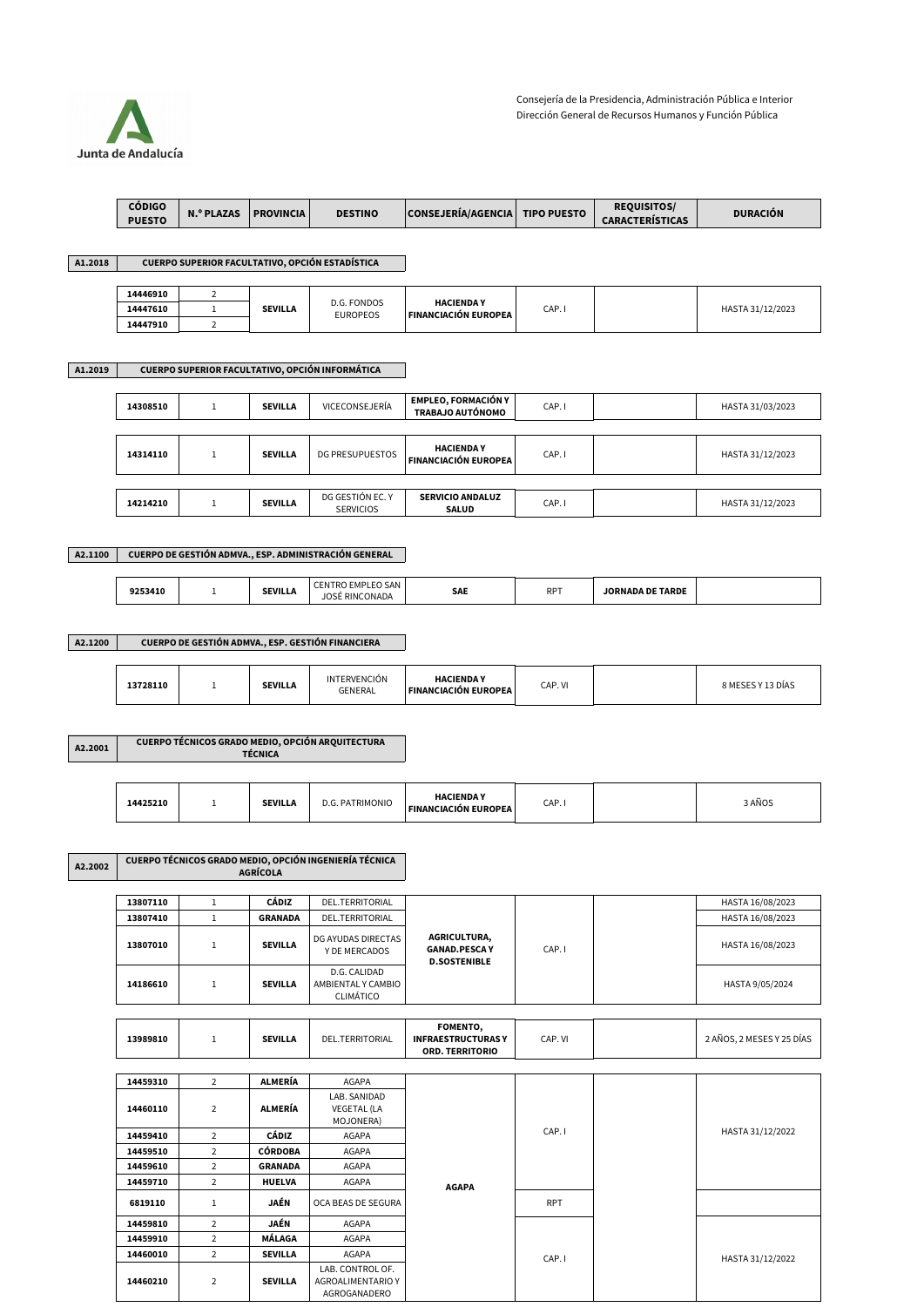

|         | <b>CÓDIGO</b><br><b>PUESTO</b>                  | <b>N.º PLAZAS</b>                        | <b>PROVINCIA</b>                | <b>DESTINO</b>                                         | <b>CONSEJERÍA/AGENCIA</b>                                  | <b>TIPO PUESTO</b> | <b>REQUISITOS/</b><br><b>CARACTERÍSTICAS</b> | <b>DURACIÓN</b>           |
|---------|-------------------------------------------------|------------------------------------------|---------------------------------|--------------------------------------------------------|------------------------------------------------------------|--------------------|----------------------------------------------|---------------------------|
|         |                                                 |                                          |                                 |                                                        |                                                            |                    |                                              |                           |
| A1.2018 | CUERPO SUPERIOR FACULTATIVO, OPCIÓN ESTADÍSTICA |                                          |                                 |                                                        |                                                            |                    |                                              |                           |
|         | 14446910<br>14447610<br>14447910                | $\mathbf 2$<br>$\,1\,$<br>$\overline{2}$ | <b>SEVILLA</b>                  | D.G. FONDOS<br><b>EUROPEOS</b>                         | <b>HACIENDAY</b><br><b>FINANCIACIÓN EUROPEA</b>            | CAP.I              |                                              | HASTA 31/12/2023          |
| A1.2019 |                                                 |                                          |                                 | CUERPO SUPERIOR FACULTATIVO, OPCIÓN INFORMÁTICA        |                                                            |                    |                                              |                           |
|         | 14308510                                        | $\,1\,$                                  | <b>SEVILLA</b>                  | VICECONSEJERÍA                                         | EMPLEO, FORMACIÓN Y<br>TRABAJO AUTÓNOMO                    | CAP.I              |                                              | HASTA 31/03/2023          |
|         | 14314110                                        | $\mathbf{1}$                             | <b>SEVILLA</b>                  | DG PRESUPUESTOS                                        | <b>HACIENDAY</b><br><b>FINANCIACIÓN EUROPEA</b>            | CAP.I              |                                              | HASTA 31/12/2023          |
|         | 14214210                                        | $\,1\,$                                  | <b>SEVILLA</b>                  | DG GESTIÓN EC. Y<br><b>SERVICIOS</b>                   | <b>SERVICIO ANDALUZ</b><br><b>SALUD</b>                    | CAP.I              |                                              | HASTA 31/12/2023          |
| A2.1100 |                                                 |                                          |                                 | CUERPO DE GESTIÓN ADMVA., ESP. ADMINISTRACIÓN GENERAL  |                                                            |                    |                                              |                           |
|         | 9253410                                         | $\mathbf{1}$                             | <b>SEVILLA</b>                  | CENTRO EMPLEO SAN<br>JOSÉ RINCONADA                    | SAE                                                        | <b>RPT</b>         | <b>JORNADA DE TARDE</b>                      |                           |
|         |                                                 |                                          |                                 |                                                        |                                                            |                    |                                              |                           |
| A2.1200 |                                                 |                                          |                                 | CUERPO DE GESTIÓN ADMVA., ESP. GESTIÓN FINANCIERA      |                                                            |                    |                                              |                           |
|         | 13728110                                        | $\mathbf{1}$                             | <b>SEVILLA</b>                  | INTERVENCIÓN<br>GENERAL                                | <b>HACIENDAY</b><br><b>FINANCIACIÓN EUROPEA</b>            | CAP. VI            |                                              | 8 MESES Y 13 DÍAS         |
|         |                                                 |                                          |                                 |                                                        |                                                            |                    |                                              |                           |
| A2.2001 |                                                 |                                          | <b>TÉCNICA</b>                  | CUERPO TÉCNICOS GRADO MEDIO, OPCIÓN ARQUITECTURA       |                                                            |                    |                                              |                           |
|         | 14425210                                        | $\mathbf{1}$                             | <b>SEVILLA</b>                  | D.G. PATRIMONIO                                        | <b>HACIENDAY</b><br><b>FINANCIACIÓN EUROPEA</b>            | CAP.I              |                                              | 3 AÑOS                    |
| A2.2002 |                                                 |                                          | AGRÍCOLA                        | CUERPO TÉCNICOS GRADO MEDIO, OPCIÓN INGENIERÍA TÉCNICA |                                                            |                    |                                              |                           |
|         | 13807110                                        | $\mathbf{1}$                             | CÁDIZ                           | DEL.TERRITORIAL                                        |                                                            |                    |                                              | HASTA 16/08/2023          |
|         | 13807410                                        | $\,1\,$                                  | <b>GRANADA</b>                  | DEL.TERRITORIAL                                        |                                                            |                    |                                              | HASTA 16/08/2023          |
|         | 13807010                                        | $\mathbf{1}$                             | <b>SEVILLA</b>                  | DG AYUDAS DIRECTAS<br>Y DE MERCADOS                    | AGRICULTURA,<br><b>GANAD.PESCAY</b><br><b>D.SOSTENIBLE</b> | CAP.I              |                                              | HASTA 16/08/2023          |
|         | 14186610                                        | $\mathbf{1}$                             | <b>SEVILLA</b>                  | D.G. CALIDAD<br>AMBIENTAL Y CAMBIO<br><b>CLIMÁTICO</b> |                                                            |                    |                                              | HASTA 9/05/2024           |
|         | 13989810                                        | $\mathbf{1}$                             | <b>SEVILLA</b>                  | DEL.TERRITORIAL                                        | FOMENTO,<br><b>INFRAESTRUCTURASY</b><br>ORD. TERRITORIO    | CAP. VI            |                                              | 2 AÑOS, 2 MESES Y 25 DÍAS |
|         | 14459310                                        | $\sqrt{2}$                               | ALMERÍA                         | AGAPA                                                  |                                                            |                    |                                              |                           |
|         | 14460110                                        | $\overline{2}$                           | ALMERÍA                         | LAB. SANIDAD<br><b>VEGETAL (LA</b><br>MOJONERA)        |                                                            |                    |                                              |                           |
|         | 14459410                                        | $\overline{2}$                           | CÁDIZ                           | AGAPA                                                  |                                                            | CAP.I              |                                              | HASTA 31/12/2022          |
|         | 14459510                                        | $\sqrt{2}$<br>CÓRDOBA                    |                                 | AGAPA                                                  |                                                            |                    |                                              |                           |
|         | 14459610<br>14459710                            | $\mathbf 2$<br>$\overline{2}$            | <b>GRANADA</b><br><b>HUELVA</b> | AGAPA<br>AGAPA                                         |                                                            |                    |                                              |                           |
|         | 6819110                                         | $\mathbf{1}$                             | JAÉN                            | OCA BEAS DE SEGURA                                     | <b>AGAPA</b>                                               | <b>RPT</b>         |                                              |                           |
|         | 14459810                                        | $\overline{2}$                           | JAÉN                            | AGAPA                                                  |                                                            |                    |                                              |                           |
|         | 14459910<br>14460010                            | $\sqrt{2}$<br>$\sqrt{2}$                 | MÁLAGA<br><b>SEVILLA</b>        | AGAPA<br>AGAPA                                         |                                                            |                    |                                              |                           |
|         | 14460210                                        | $\overline{2}$                           | <b>SEVILLA</b>                  | LAB. CONTROL OF.<br>AGROALIMENTARIO Y<br>AGROGANADERO  |                                                            | CAP.I              |                                              | HASTA 31/12/2022          |